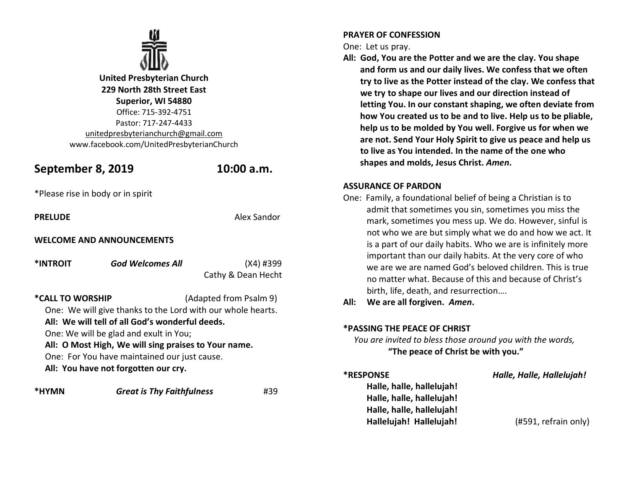

**United Presbyterian Church 229 North 28th Street East Superior, WI 54880** Office: 715-392-4751 Pastor: 717-247-4433 [unitedpresbyterianchurch@gmail.com](mailto:unitedpresbyterianchurch@gmail.com) www.facebook.com/UnitedPresbyterianChurch

# **September 8, 2019 10:00 a.m.**

\*Please rise in body or in spirit

**PRELUDE** Alex Sandor

## **WELCOME AND ANNOUNCEMENTS**

**\*INTROIT** *God Welcomes All* (X4) #399 Cathy & Dean Hecht **\*CALL TO WORSHIP** (Adapted from Psalm 9) One: We will give thanks to the Lord with our whole hearts. **All: We will tell of all God's wonderful deeds.**

One: We will be glad and exult in You;

**All: O Most High, We will sing praises to Your name.**

One: For You have maintained our just cause.

**All: You have not forgotten our cry.**

**\*HYMN** *Great is Thy Faithfulness* #39

### **PRAYER OF CONFESSION**

One: Let us pray.

**All: God, You are the Potter and we are the clay. You shape and form us and our daily lives. We confess that we often try to live as the Potter instead of the clay. We confess that we try to shape our lives and our direction instead of letting You. In our constant shaping, we often deviate from how You created us to be and to live. Help us to be pliable, help us to be molded by You well. Forgive us for when we are not. Send Your Holy Spirit to give us peace and help us to live as You intended. In the name of the one who shapes and molds, Jesus Christ.** *Amen***.**

### **ASSURANCE OF PARDON**

One: Family, a foundational belief of being a Christian is to admit that sometimes you sin, sometimes you miss the mark, sometimes you mess up. We do. However, sinful is not who we are but simply what we do and how we act. It is a part of our daily habits. Who we are is infinitely more important than our daily habits. At the very core of who we are we are named God's beloved children. This is true no matter what. Because of this and because of Christ's birth, life, death, and resurrection….

**All: We are all forgiven.** *Amen***.**

# **\*PASSING THE PEACE OF CHRIST**

 *You are invited to bless those around you with the words,* **"The peace of Christ be with you."**

**Halle, halle, hallelujah! Halle, halle, hallelujah! Halle, halle, hallelujah! Hallelujah! Hallelujah!** (#591, refrain only)

**\*RESPONSE** *Halle, Halle, Hallelujah!*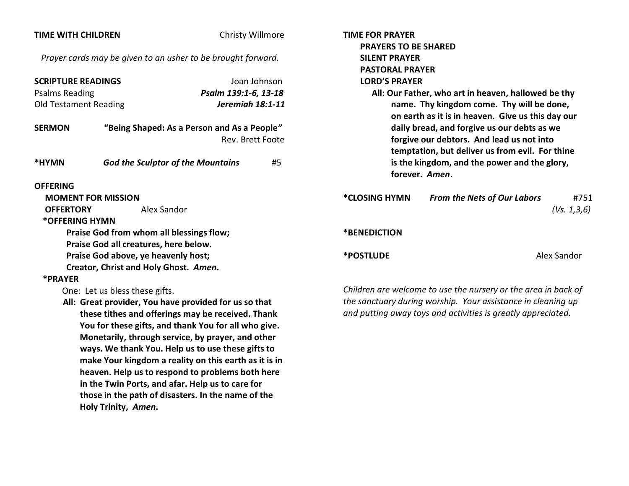| <b>TIME WITH CHILDREN</b>                                                                                                                                                                                                                                                                                                       |                                                    | Christy Willmore                            |                                                     | <b>TIME FOR PRAYER</b>                                         |                                                   |               |
|---------------------------------------------------------------------------------------------------------------------------------------------------------------------------------------------------------------------------------------------------------------------------------------------------------------------------------|----------------------------------------------------|---------------------------------------------|-----------------------------------------------------|----------------------------------------------------------------|---------------------------------------------------|---------------|
|                                                                                                                                                                                                                                                                                                                                 |                                                    |                                             | <b>PRAYERS TO BE SHARED</b><br><b>SILENT PRAYER</b> |                                                                |                                                   |               |
| Prayer cards may be given to an usher to be brought forward.                                                                                                                                                                                                                                                                    |                                                    |                                             |                                                     | <b>PASTORAL PRAYER</b>                                         |                                                   |               |
| <b>SCRIPTURE READINGS</b><br>Joan Johnson                                                                                                                                                                                                                                                                                       |                                                    |                                             | <b>LORD'S PRAYER</b>                                |                                                                |                                                   |               |
| <b>Psalms Reading</b>                                                                                                                                                                                                                                                                                                           |                                                    | Psalm 139:1-6, 13-18                        |                                                     | All: Our Father, who art in heaven, hallowed be thy            |                                                   |               |
| <b>Old Testament Reading</b>                                                                                                                                                                                                                                                                                                    |                                                    | Jeremiah 18:1-11                            |                                                     | name. Thy kingdom come. Thy will be done,                      |                                                   |               |
|                                                                                                                                                                                                                                                                                                                                 |                                                    |                                             |                                                     |                                                                | on earth as it is in heaven. Give us this day our |               |
| <b>SERMON</b>                                                                                                                                                                                                                                                                                                                   |                                                    | "Being Shaped: As a Person and As a People" |                                                     | daily bread, and forgive us our debts as we                    |                                                   |               |
|                                                                                                                                                                                                                                                                                                                                 |                                                    | Rev. Brett Foote                            |                                                     | forgive our debtors. And lead us not into                      |                                                   |               |
|                                                                                                                                                                                                                                                                                                                                 |                                                    |                                             |                                                     |                                                                | temptation, but deliver us from evil. For thine   |               |
| *HYMN                                                                                                                                                                                                                                                                                                                           | <b>God the Sculptor of the Mountains</b>           |                                             | #5                                                  |                                                                | is the kingdom, and the power and the glory,      |               |
|                                                                                                                                                                                                                                                                                                                                 |                                                    |                                             |                                                     |                                                                | forever. Amen.                                    |               |
| <b>OFFERING</b>                                                                                                                                                                                                                                                                                                                 |                                                    |                                             |                                                     |                                                                |                                                   |               |
|                                                                                                                                                                                                                                                                                                                                 | <b>MOMENT FOR MISSION</b>                          |                                             |                                                     | <i><b>*CLOSING HYMN</b></i>                                    | <b>From the Nets of Our Labors</b>                | #751          |
| Alex Sandor<br><b>OFFERTORY</b>                                                                                                                                                                                                                                                                                                 |                                                    |                                             |                                                     |                                                                |                                                   | (Vs. 1, 3, 6) |
| *OFFERING HYMN                                                                                                                                                                                                                                                                                                                  |                                                    |                                             |                                                     |                                                                |                                                   |               |
| Praise God from whom all blessings flow;                                                                                                                                                                                                                                                                                        |                                                    |                                             |                                                     | *BENEDICTION                                                   |                                                   |               |
| Praise God all creatures, here below.                                                                                                                                                                                                                                                                                           |                                                    |                                             |                                                     | <b>*POSTLUDE</b>                                               |                                                   | Alex Sandor   |
| Praise God above, ye heavenly host;<br>Creator, Christ and Holy Ghost. Amen.                                                                                                                                                                                                                                                    |                                                    |                                             |                                                     |                                                                |                                                   |               |
| *PRAYER                                                                                                                                                                                                                                                                                                                         |                                                    |                                             |                                                     |                                                                |                                                   |               |
| One: Let us bless these gifts.                                                                                                                                                                                                                                                                                                  |                                                    |                                             |                                                     | Children are welcome to use the nursery or the area in back of |                                                   |               |
| All: Great provider, You have provided for us so that                                                                                                                                                                                                                                                                           |                                                    |                                             |                                                     | the sanctuary during worship. Your assistance in cleaning up   |                                                   |               |
| these tithes and offerings may be received. Thank                                                                                                                                                                                                                                                                               |                                                    |                                             |                                                     | and putting away toys and activities is greatly appreciated.   |                                                   |               |
| You for these gifts, and thank You for all who give.<br>Monetarily, through service, by prayer, and other<br>ways. We thank You. Help us to use these gifts to<br>make Your kingdom a reality on this earth as it is in<br>heaven. Help us to respond to problems both here<br>in the Twin Ports, and afar. Help us to care for |                                                    |                                             |                                                     |                                                                |                                                   |               |
|                                                                                                                                                                                                                                                                                                                                 |                                                    |                                             |                                                     |                                                                |                                                   |               |
|                                                                                                                                                                                                                                                                                                                                 |                                                    |                                             |                                                     |                                                                |                                                   |               |
|                                                                                                                                                                                                                                                                                                                                 |                                                    |                                             |                                                     |                                                                |                                                   |               |
|                                                                                                                                                                                                                                                                                                                                 |                                                    |                                             |                                                     |                                                                |                                                   |               |
|                                                                                                                                                                                                                                                                                                                                 |                                                    |                                             |                                                     |                                                                |                                                   |               |
|                                                                                                                                                                                                                                                                                                                                 | those in the path of disasters. In the name of the |                                             |                                                     |                                                                |                                                   |               |
| Holy Trinity, Amen.                                                                                                                                                                                                                                                                                                             |                                                    |                                             |                                                     |                                                                |                                                   |               |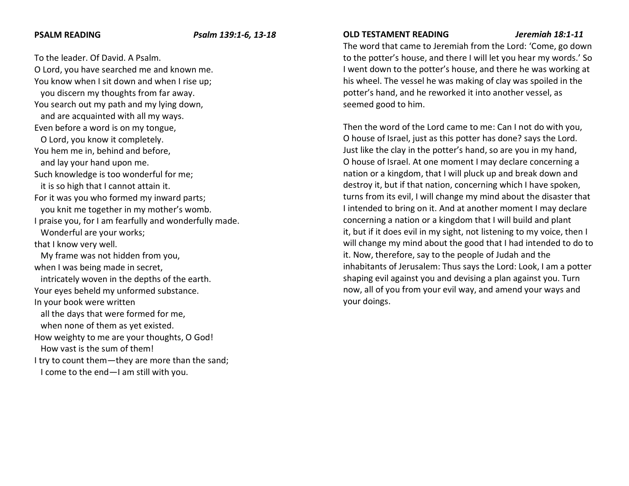#### **PSALM READING** *Psalm 139:1-6, 13-18*

To the leader. Of David. A Psalm. O Lord, you have searched me and known me. You know when I sit down and when I rise up; you discern my thoughts from far away. You search out my path and my lying down, and are acquainted with all my ways. Even before a word is on my tongue, O Lord, you know it completely. You hem me in, behind and before, and lay your hand upon me. Such knowledge is too wonderful for me; it is so high that I cannot attain it. For it was you who formed my inward parts; you knit me together in my mother's womb. I praise you, for I am fearfully and wonderfully made. Wonderful are your works; that I know very well. My frame was not hidden from you, when I was being made in secret, intricately woven in the depths of the earth. Your eyes beheld my unformed substance. In your book were written all the days that were formed for me, when none of them as yet existed. How weighty to me are your thoughts, O God! How vast is the sum of them! I try to count them—they are more than the sand; I come to the end—I am still with you.

#### **OLD TESTAMENT READING** *Jeremiah 18:1-11*

The word that came to Jeremiah from the Lord: 'Come, go down to the potter's house, and there I will let you hear my words.' So I went down to the potter's house, and there he was working at his wheel. The vessel he was making of clay was spoiled in the potter's hand, and he reworked it into another vessel, as seemed good to him.

Then the word of the Lord came to me: Can I not do with you, O house of Israel, just as this potter has done? says the Lord. Just like the clay in the potter's hand, so are you in my hand, O house of Israel. At one moment I may declare concerning a nation or a kingdom, that I will pluck up and break down and destroy it, but if that nation, concerning which I have spoken, turns from its evil, I will change my mind about the disaster that I intended to bring on it. And at another moment I may declare concerning a nation or a kingdom that I will build and plant it, but if it does evil in my sight, not listening to my voice, then I will change my mind about the good that I had intended to do to it. Now, therefore, say to the people of Judah and the inhabitants of Jerusalem: Thus says the Lord: Look, I am a potter shaping evil against you and devising a plan against you. Turn now, all of you from your evil way, and amend your ways and your doings.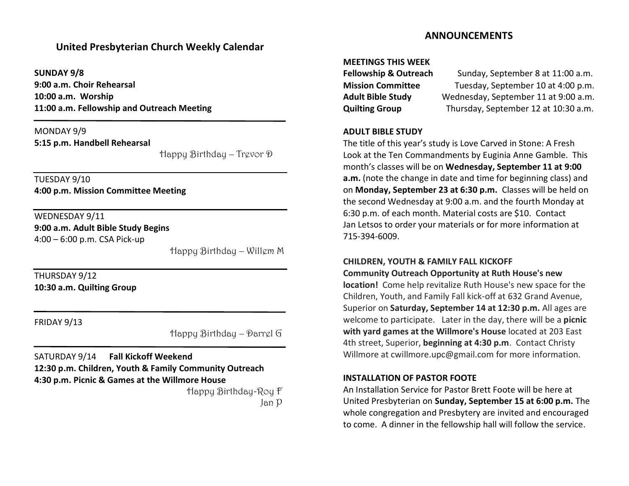# **United Presbyterian Church Weekly Calendar**

**SUNDAY 9/8 9:00 a.m. Choir Rehearsal 10:00 a.m. Worship 11:00 a.m. Fellowship and Outreach Meeting**

MONDAY 9/9 **5:15 p.m. Handbell Rehearsal**

Happy Birthday – Trevor D

TUESDAY 9/10 **4:00 p.m. Mission Committee Meeting**

WEDNESDAY 9/11

**9:00 a.m. Adult Bible Study Begins** 4:00 – 6:00 p.m. CSA Pick-up

 $\overline{\phantom{a}}$ 

Happy Birthday – Willem M

THURSDAY 9/12 **10:30 a.m. Quilting Group**

FRIDAY 9/13

Happy Birthday – Darrel G

SATURDAY 9/14 **Fall Kickoff Weekend 12:30 p.m. Children, Youth & Family Community Outreach 4:30 p.m. Picnic & Games at the Willmore House**

 Happy Birthday-Roy F Jan P

# **ANNOUNCEMENTS**

#### **MEETINGS THIS WEEK**

| <b>Fellowship &amp; Outreach</b> | Sunday, September 8 at 11:00 a.m.    |  |  |  |
|----------------------------------|--------------------------------------|--|--|--|
| <b>Mission Committee</b>         | Tuesday, September 10 at 4:00 p.m.   |  |  |  |
| <b>Adult Bible Study</b>         | Wednesday, September 11 at 9:00 a.m. |  |  |  |
| <b>Quilting Group</b>            | Thursday, September 12 at 10:30 a.m. |  |  |  |

#### **ADULT BIBLE STUDY**

The title of this year's study is Love Carved in Stone: A Fresh Look at the Ten Commandments by Euginia Anne Gamble. This month's classes will be on **Wednesday, September 11 at 9:00 a.m.** (note the change in date and time for beginning class) and on **Monday, September 23 at 6:30 p.m.** Classes will be held on the second Wednesday at 9:00 a.m. and the fourth Monday at 6:30 p.m. of each month. Material costs are \$10. Contact Jan Letsos to order your materials or for more information at 715-394-6009.

### **CHILDREN, YOUTH & FAMILY FALL KICKOFF**

**Community Outreach Opportunity at Ruth House's new location!** Come help revitalize Ruth House's new space for the Children, Youth, and Family Fall kick-off at 632 Grand Avenue, Superior on **Saturday, September 14 at 12:30 p.m.** All ages are welcome to participate. Later in the day, there will be a **picnic with yard games at the Willmore's House** located at 203 East 4th street, Superior, **beginning at 4:30 p.m**. Contact Christy Willmore at cwillmore.upc@gmail.com for more information.

### **INSTALLATION OF PASTOR FOOTE**

An Installation Service for Pastor Brett Foote will be here at United Presbyterian on **Sunday, September 15 at 6:00 p.m.** The whole congregation and Presbytery are invited and encouraged to come. A dinner in the fellowship hall will follow the service.